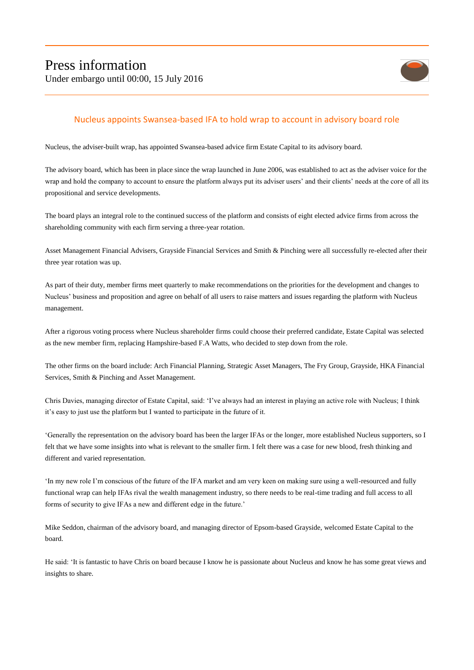

## Nucleus appoints Swansea-based IFA to hold wrap to account in advisory board role

Nucleus, the adviser-built wrap, has appointed Swansea-based advice firm Estate Capital to its advisory board.

The advisory board, which has been in place since the wrap launched in June 2006, was established to act as the adviser voice for the wrap and hold the company to account to ensure the platform always put its adviser users' and their clients' needs at the core of all its propositional and service developments.

The board plays an integral role to the continued success of the platform and consists of eight elected advice firms from across the shareholding community with each firm serving a three-year rotation.

Asset Management Financial Advisers, Grayside Financial Services and Smith & Pinching were all successfully re-elected after their three year rotation was up.

As part of their duty, member firms meet quarterly to make recommendations on the priorities for the development and changes to Nucleus' business and proposition and agree on behalf of all users to raise matters and issues regarding the platform with Nucleus management.

After a rigorous voting process where Nucleus shareholder firms could choose their preferred candidate, Estate Capital was selected as the new member firm, replacing Hampshire-based F.A Watts, who decided to step down from the role.

The other firms on the board include: Arch Financial Planning, Strategic Asset Managers, The Fry Group, Grayside, HKA Financial Services, Smith & Pinching and Asset Management.

Chris Davies, managing director of Estate Capital, said: 'I've always had an interest in playing an active role with Nucleus; I think it's easy to just use the platform but I wanted to participate in the future of it.

'Generally the representation on the advisory board has been the larger IFAs or the longer, more established Nucleus supporters, so I felt that we have some insights into what is relevant to the smaller firm. I felt there was a case for new blood, fresh thinking and different and varied representation.

'In my new role I'm conscious of the future of the IFA market and am very keen on making sure using a well-resourced and fully functional wrap can help IFAs rival the wealth management industry, so there needs to be real-time trading and full access to all forms of security to give IFAs a new and different edge in the future.'

Mike Seddon, chairman of the advisory board, and managing director of Epsom-based Grayside, welcomed Estate Capital to the board.

He said: 'It is fantastic to have Chris on board because I know he is passionate about Nucleus and know he has some great views and insights to share.